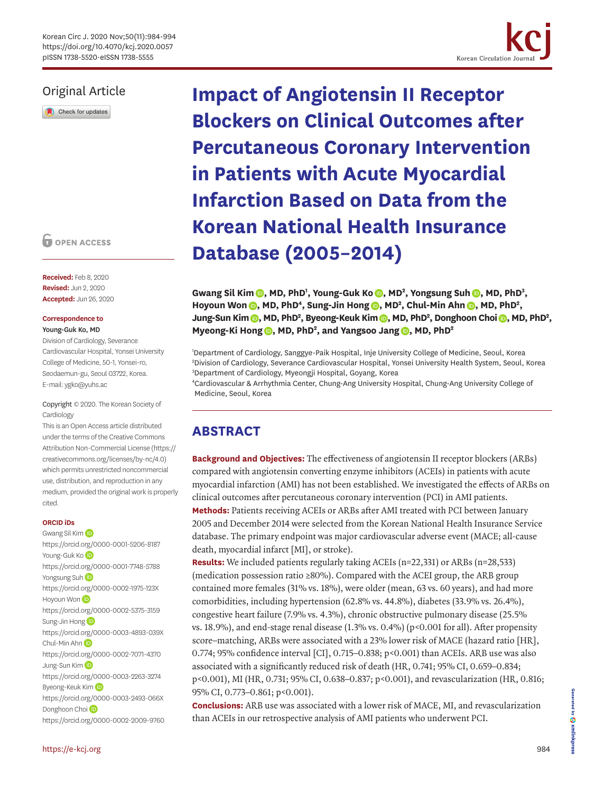

# Original Article

Check for updates

**O** OPEN ACCESS

**Received:** Feb 8, 2020 **Revised:** Jun 2, 2020 **Accepted:** Jun 26, 2020

#### **Correspondence to** Young-Guk Ko, MD

Division of Cardiology, Severance Cardiovascular Hospital, Yonsei University College of Medicine, 50-1, Yonsei-ro, Seodaemun-gu, Seoul 03722, Korea. E-mail: ygko@yuhs.ac

Copyright © 2020. The Korean Society of Cardiology

This is an Open Access article distributed under the terms of the Creative Commons Attribution Non-Commercial License [\(https://](https://creativecommons.org/licenses/by-nc/4.0) [creativecommons.org/licenses/by-nc/4.0](https://creativecommons.org/licenses/by-nc/4.0)) which permits unrestricted noncommercial use, distribution, and reproduction in any medium, provided the original work is properly cited.

### **ORCID iDs**

Gwang Sil Kim <https://orcid.org/0000-0001-5206-8187> Young-Guk Ko <https://orcid.org/0000-0001-7748-5788> Yongsung Suh <https://orcid.org/0000-0002-1975-123X> Hoyou[n](https://orcid.org/0000-0002-5375-3159) Won **iD** <https://orcid.org/0000-0002-5375-3159> Sung-Jin Hong<sup>(D</sup> <https://orcid.org/0000-0003-4893-039X> Chul-Mi[n](https://orcid.org/0000-0002-7071-4370) Ahn <https://orcid.org/0000-0002-7071-4370> Jung-Sun Kim<sup>(D</sup> <https://orcid.org/0000-0003-2263-3274> Byeong-Keuk Ki[m](https://orcid.org/0000-0003-2493-066X) (D <https://orcid.org/0000-0003-2493-066X> Donghoon Choi<sup>D</sup> <https://orcid.org/0000-0002-2009-9760> **Impact of Angiotensin II Receptor Blockers on Clinical Outcomes after Percutaneous Coronary Intervention in Patients with Acute Myocardial Infarction Based on Data from the Korean National Health Insurance Database (2005–2014)**

Gwang Sil Kim (D[,](https://orcid.org/0000-0002-1975-123X) MD, PhD<sup>1</sup>, Young-Guk Ko (D, MD<sup>2</sup>, Yongsung Suh (D, MD, PhD<sup>3</sup>, Hoyoun Won **D**[,](https://orcid.org/0000-0002-7071-4370) MD, PhD<sup>4</sup>, Sung-Jin Hong **D**, MD<sup>2</sup>, Chul-Min Ahn **D**, MD, PhD<sup>2</sup>, **Jung-Sun Kim (D[,](https://orcid.org/0000-0002-2009-9760) MD, PhD<sup>2</sup>, Byeong-Keuk Kim (D, MD, PhD<sup>2</sup>, Donghoon Choi (D, MD, PhD<sup>2</sup>, Myeong-Ki Hong (D[,](https://orcid.org/0000-0002-2169-3112) MD, PhD<sup>2</sup>, and Yangsoo Jang (D, MD, PhD<sup>2</sup>)** 

1 Department of Cardiology, Sanggye-Paik Hospital, Inje University College of Medicine, Seoul, Korea 2 Division of Cardiology, Severance Cardiovascular Hospital, Yonsei University Health System, Seoul, Korea 3 Department of Cardiology, Myeongji Hospital, Goyang, Korea

4 Cardiovascular & Arrhythmia Center, Chung-Ang University Hospital, Chung-Ang University College of Medicine, Seoul, Korea

# **ABSTRACT**

**Background and Objectives:** The effectiveness of angiotensin II receptor blockers (ARBs) compared with angiotensin converting enzyme inhibitors (ACEIs) in patients with acute myocardial infarction (AMI) has not been established. We investigated the effects of ARBs on clinical outcomes after percutaneous coronary intervention (PCI) in AMI patients. **Methods:** Patients receiving ACEIs or ARBs after AMI treated with PCI between January

2005 and December 2014 were selected from the Korean National Health Insurance Service database. The primary endpoint was major cardiovascular adverse event (MACE; all-cause death, myocardial infarct [MI], or stroke).

**Results:** We included patients regularly taking ACEIs (n=22,331) or ARBs (n=28,533) (medication possession ratio ≥80%). Compared with the ACEI group, the ARB group contained more females (31% vs. 18%), were older (mean, 63 vs. 60 years), and had more comorbidities, including hypertension (62.8% vs. 44.8%), diabetes (33.9% vs. 26.4%), congestive heart failure (7.9% vs. 4.3%), chronic obstructive pulmonary disease (25.5% vs. 18.9%), and end-stage renal disease (1.3% vs. 0.4%) (p<0.001 for all). After propensity score–matching, ARBs were associated with a 23% lower risk of MACE (hazard ratio [HR], 0.774; 95% confidence interval [CI], 0.715–0.838; p<0.001) than ACEIs. ARB use was also associated with a significantly reduced risk of death (HR, 0.741; 95% CI, 0.659–0.834; p<0.001), MI (HR, 0.731; 95% CI, 0.638–0.837; p<0.001), and revascularization (HR, 0.816; 95% CI, 0.773–0.861; p<0.001).

**Conclusions:** ARB use was associated with a lower risk of MACE, MI, and revascularization than ACEIs in our retrospective analysis of AMI patients who underwent PCI.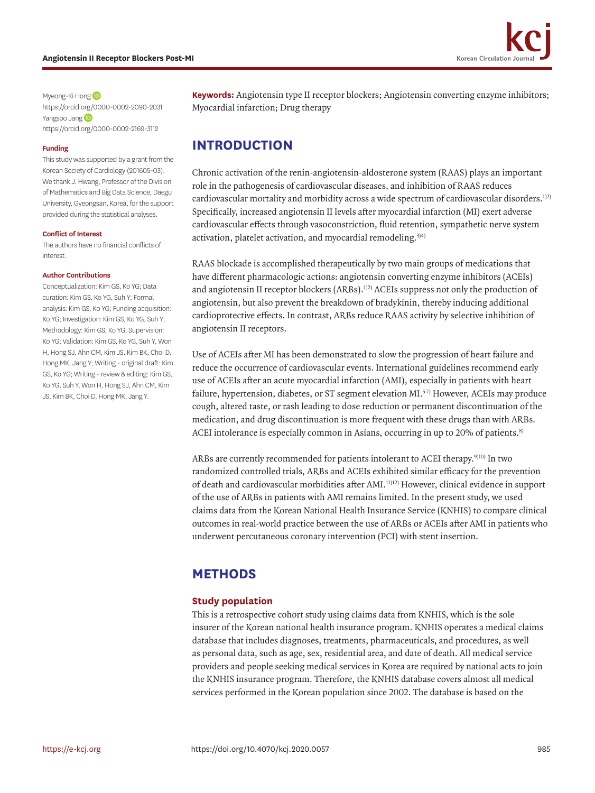<span id="page-1-1"></span><span id="page-1-0"></span>

Myeong-Ki Hong <https://orcid.org/0000-0002-2090-2031> Yangsoo Jang <https://orcid.org/0000-0002-2169-3112>

#### **Funding**

This study was supported by a grant from the Korean Society of Cardiology (201605-03). We thank J. Hwang, Professor of the Division of Mathematics and Big Data Science, Daegu University, Gyeongsan, Korea, for the support provided during the statistical analyses.

#### **Conflict of Interest**

The authors have no financial conflicts of interest.

#### **Author Contributions**

Conceptualization: Kim GS, Ko YG; Data curation: Kim GS, Ko YG, Suh Y; Formal analysis: Kim GS, Ko YG; Funding acquisition: Ko YG; Investigation: Kim GS, Ko YG, Suh Y; Methodology: Kim GS, Ko YG; Supervision: Ko YG; Validation: Kim GS, Ko YG, Suh Y, Won H, Hong SJ, Ahn CM, Kim JS, Kim BK, Choi D, Hong MK, Jang Y; Writing - original draft: Kim GS, Ko YG; Writing - review & editing: Kim GS, Ko YG, Suh Y, Won H, Hong SJ, Ahn CM, Kim JS, Kim BK, Choi D, Hong MK, Jang Y.

**Keywords:** Angiotensin type II receptor blockers; Angiotensin converting enzyme inhibitors; Myocardial infarction; Drug therapy

# **INTRODUCTION**

Chronic activation of the renin-angiotensin-aldosterone system (RAAS) plays an important role in the pathogenesis of cardiovascular diseases, and inhibition of RAAS reduces cardiovascular mortality and morbidity across a wide spectrum of cardiovascular disorders[.1\)](#page-9-0)[2\)](#page-9-1) Specifically, increased angiotensin II levels after myocardial infarction (MI) exert adverse cardiovascular effects through vasoconstriction, fluid retention, sympathetic nerve system activation, platelet activation, and myocardial remodeling.<sup>3)[4\)](#page-9-3)</sup>

RAAS blockade is accomplished therapeutically by two main groups of medications that have different pharmacologic actions: angiotensin converting enzyme inhibitors (ACEIs) and angiotensin II receptor blockers  $(ARBs)$ .<sup>1)2)</sup> ACEIs suppress not only the production of angiotensin, but also prevent the breakdown of bradykinin, thereby inducing additional cardioprotective effects. In contrast, ARBs reduce RAAS activity by selective inhibition of angiotensin II receptors.

Use of ACEIs after MI has been demonstrated to slow the progression of heart failure and reduce the occurrence of cardiovascular events. International guidelines recommend early use of ACEIs after an acute myocardial infarction (AMI), especially in patients with heart failure, hypertension, diabetes, or ST segment elevation MI.<sup>5[-7\)](#page-9-5)</sup> However, ACEIs may produce cough, altered taste, or rash leading to dose reduction or permanent discontinuation of the medication, and drug discontinuation is more frequent with these drugs than with ARBs. ACEI intolerance is especially common in Asians, occurring in up to 20% of patients.<sup>[8\)](#page-9-6)</sup>

ARBs are currently recommended for patients intolerant to ACEI therapy.<sup>[9\)](#page-9-7)[10\)](#page-9-8)</sup> In two randomized controlled trials, ARBs and ACEIs exhibited similar efficacy for the prevention of death and cardiovascular morbidities after AMI[.11\)](#page-9-9)[12\)](#page-9-10) However, clinical evidence in support of the use of ARBs in patients with AMI remains limited. In the present study, we used claims data from the Korean National Health Insurance Service (KNHIS) to compare clinical outcomes in real-world practice between the use of ARBs or ACEIs after AMI in patients who underwent percutaneous coronary intervention (PCI) with stent insertion.

## **METHODS**

### **Study population**

This is a retrospective cohort study using claims data from KNHIS, which is the sole insurer of the Korean national health insurance program. KNHIS operates a medical claims database that includes diagnoses, treatments, pharmaceuticals, and procedures, as well as personal data, such as age, sex, residential area, and date of death. All medical service providers and people seeking medical services in Korea are required by national acts to join the KNHIS insurance program. Therefore, the KNHIS database covers almost all medical services performed in the Korean population since 2002. The database is based on the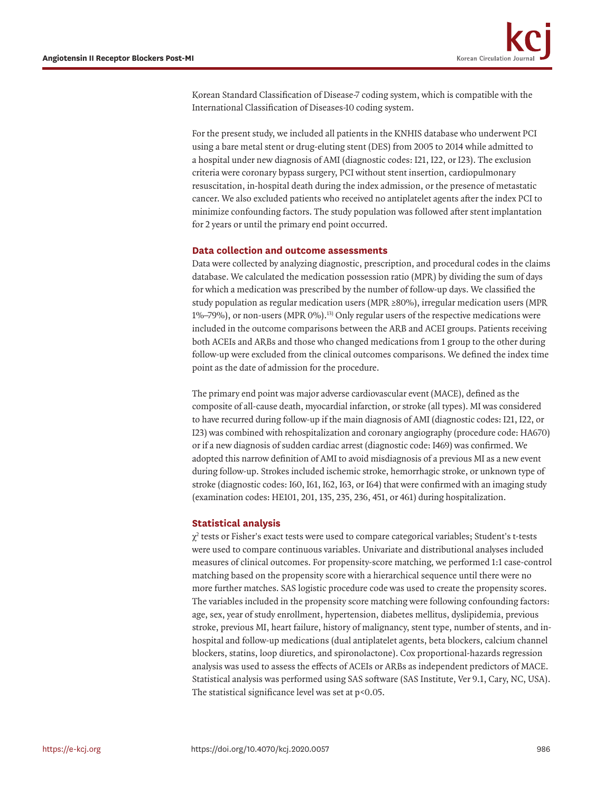Korean Standard Classification of Disease-7 coding system, which is compatible with the International Classification of Diseases-10 coding system.

For the present study, we included all patients in the KNHIS database who underwent PCI using a bare metal stent or drug-eluting stent (DES) from 2005 to 2014 while admitted to a hospital under new diagnosis of AMI (diagnostic codes: I21, I22, or I23). The exclusion criteria were coronary bypass surgery, PCI without stent insertion, cardiopulmonary resuscitation, in-hospital death during the index admission, or the presence of metastatic cancer. We also excluded patients who received no antiplatelet agents after the index PCI to minimize confounding factors. The study population was followed after stent implantation for 2 years or until the primary end point occurred.

#### **Data collection and outcome assessments**

Data were collected by analyzing diagnostic, prescription, and procedural codes in the claims database. We calculated the medication possession ratio (MPR) by dividing the sum of days for which a medication was prescribed by the number of follow-up days. We classified the study population as regular medication users (MPR  $\geq 80\%$ ), irregular medication users (MPR 1%–79%), or non-users (MPR 0%)[.13\)](#page-9-11) Only regular users of the respective medications were included in the outcome comparisons between the ARB and ACEI groups. Patients receiving both ACEIs and ARBs and those who changed medications from 1 group to the other during follow-up were excluded from the clinical outcomes comparisons. We defined the index time point as the date of admission for the procedure.

The primary end point was major adverse cardiovascular event (MACE), defined as the composite of all-cause death, myocardial infarction, or stroke (all types). MI was considered to have recurred during follow-up if the main diagnosis of AMI (diagnostic codes: I21, I22, or I23) was combined with rehospitalization and coronary angiography (procedure code: HA670) or if a new diagnosis of sudden cardiac arrest (diagnostic code: I469) was confirmed. We adopted this narrow definition of AMI to avoid misdiagnosis of a previous MI as a new event during follow-up. Strokes included ischemic stroke, hemorrhagic stroke, or unknown type of stroke (diagnostic codes: I60, I61, I62, I63, or I64) that were confirmed with an imaging study (examination codes: HE101, 201, 135, 235, 236, 451, or 461) during hospitalization.

### **Statistical analysis**

 $\chi^2$  tests or Fisher's exact tests were used to compare categorical variables; Student's t-tests were used to compare continuous variables. Univariate and distributional analyses included measures of clinical outcomes. For propensity-score matching, we performed 1:1 case-control matching based on the propensity score with a hierarchical sequence until there were no more further matches. SAS logistic procedure code was used to create the propensity scores. The variables included in the propensity score matching were following confounding factors: age, sex, year of study enrollment, hypertension, diabetes mellitus, dyslipidemia, previous stroke, previous MI, heart failure, history of malignancy, stent type, number of stents, and inhospital and follow-up medications (dual antiplatelet agents, beta blockers, calcium channel blockers, statins, loop diuretics, and spironolactone). Cox proportional-hazards regression analysis was used to assess the effects of ACEIs or ARBs as independent predictors of MACE. Statistical analysis was performed using SAS software (SAS Institute, Ver 9.1, Cary, NC, USA). The statistical significance level was set at p<0.05.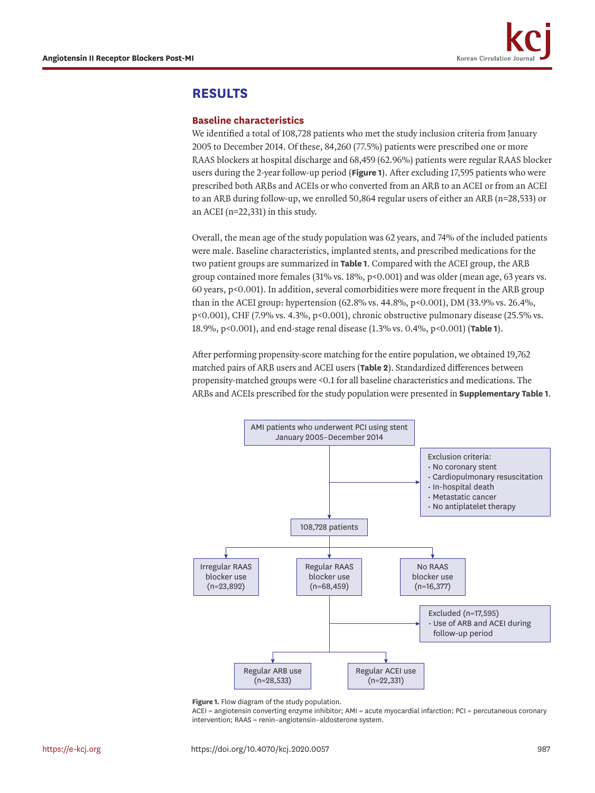

## **RESULTS**

### **Baseline characteristics**

We identified a total of 108,728 patients who met the study inclusion criteria from January 2005 to December 2014. Of these, 84,260 (77.5%) patients were prescribed one or more RAAS blockers at hospital discharge and 68,459 (62.96%) patients were regular RAAS blocker users during the 2-year follow-up period (**[Figure 1](#page-3-0)**). After excluding 17,595 patients who were prescribed both ARBs and ACEIs or who converted from an ARB to an ACEI or from an ACEI to an ARB during follow-up, we enrolled 50,864 regular users of either an ARB (n=28,533) or an ACEI (n=22,331) in this study.

Overall, the mean age of the study population was 62 years, and 74% of the included patients were male. Baseline characteristics, implanted stents, and prescribed medications for the two patient groups are summarized in **[Table 1](#page-4-0)**. Compared with the ACEI group, the ARB group contained more females (31% vs. 18%, p<0.001) and was older (mean age, 63 years vs. 60 years, p<0.001). In addition, several comorbidities were more frequent in the ARB group than in the ACEI group: hypertension (62.8% vs. 44.8%, p<0.001), DM (33.9% vs. 26.4%, p<0.001), CHF (7.9% vs. 4.3%, p<0.001), chronic obstructive pulmonary disease (25.5% vs. 18.9%, p<0.001), and end-stage renal disease (1.3% vs. 0.4%, p<0.001) (**[Table 1](#page-4-0)**).

After performing propensity-score matching for the entire population, we obtained 19,762 matched pairs of ARB users and ACEI users (**[Table 2](#page-5-0)**). Standardized differences between propensity-matched groups were <0.1 for all baseline characteristics and medications. The ARBs and ACEIs prescribed for the study population were presented in **[Supplementary Table 1](#page-8-0)**.



<span id="page-3-0"></span>**Figure 1.** Flow diagram of the study population.

ACEI = angiotensin converting enzyme inhibitor; AMI = acute myocardial infarction; PCI = percutaneous coronary intervention; RAAS = renin–angiotensin–aldosterone system.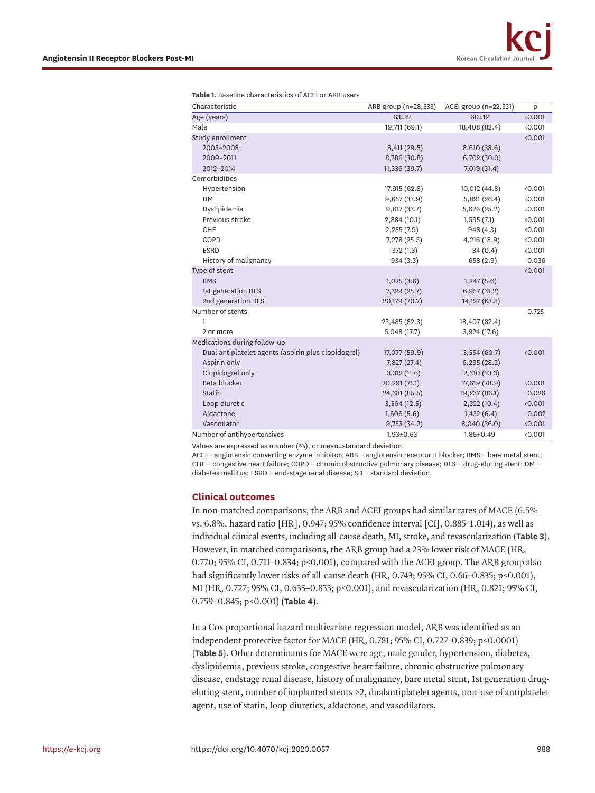| Characteristic                                      | ARB group (n=28,533) | ACEI group (n=22,331) | p     |
|-----------------------------------------------------|----------------------|-----------------------|-------|
| Age (years)                                         | $63 \pm 12$          | 60±12                 | 0.001 |
| Male                                                | 19,711 (69.1)        | 18,408 (82.4)         | 0.001 |
| Study enrollment                                    |                      |                       | 0.001 |
| 2005-2008                                           | 8,411 (29.5)         | 8,610 (38.6)          |       |
| 2009-2011                                           | 8,786 (30.8)         | 6,702 (30.0)          |       |
| 2012-2014                                           | 11,336 (39.7)        | 7,019 (31.4)          |       |
| Comorbidities                                       |                      |                       |       |
| Hypertension                                        | 17,915 (62.8)        | 10,012 (44.8)         | 0.001 |
| <b>DM</b>                                           | 9,657(33.9)          | 5,891 (26.4)          | 0.001 |
| Dyslipidemia                                        | 9,617(33.7)          | 5,626 (25.2)          | 0.001 |
| Previous stroke                                     | 2,884 (10.1)         | 1,595(7.1)            | 0.001 |
| CHF                                                 | 2,255(7.9)           | 948 (4.3)             | 0.001 |
| COPD                                                | 7,278 (25.5)         | 4,216 (18.9)          | 0.001 |
| <b>ESRD</b>                                         | 372 (1.3)            | 84 (0.4)              | 0.001 |
| History of malignancy                               | 934(3.3)             | 658 (2.9)             | 0.036 |
| Type of stent                                       |                      |                       | 0.001 |
| <b>BMS</b>                                          | 1,025(3.6)           | 1,247(5.6)            |       |
| 1st generation DES                                  | 7,329 (25.7)         | 6,957(31.2)           |       |
| 2nd generation DES                                  | 20,179 (70.7)        | 14,127 (63.3)         |       |
| Number of stents                                    |                      |                       | 0.725 |
| 1                                                   | 23,485 (82.3)        | 18,407 (82.4)         |       |
| 2 or more                                           | 5,048 (17.7)         | 3,924 (17.6)          |       |
| Medications during follow-up                        |                      |                       |       |
| Dual antiplatelet agents (aspirin plus clopidogrel) | 17,077 (59.9)        | 13,554 (60.7)         | 0.001 |
| Aspirin only                                        | 7,827 (27.4)         | 6,295(28.2)           |       |
| Clopidogrel only                                    | 3,312(11.6)          | 2,310 (10.3)          |       |
| Beta blocker                                        | 20,291 (71.1)        | 17,619 (78.9)         | 0.001 |
| <b>Statin</b>                                       | 24,381 (85.5)        | 19,237 (86.1)         | 0.026 |
| Loop diuretic                                       | 3,564(12.5)          | 2,322 (10.4)          | 0.001 |
| Aldactone                                           | 1,606(5.6)           | 1,432(6.4)            | 0.002 |
| Vasodilator                                         | 9,753 (34.2)         | 8,040 (36.0)          | 0.001 |
| Number of antihypertensives                         | $1.93 \pm 0.63$      | $1.86 \pm 0.49$       | 0.001 |

<span id="page-4-0"></span>**Table 1.** Baseline characteristics of ACEI or ARB users

Values are expressed as number (%), or mean±standard deviation.

ACEI = angiotensin converting enzyme inhibitor; ARB = angiotensin receptor II blocker; BMS = bare metal stent;  $CHF =$  congestive heart failure;  $COPD =$  chronic obstructive pulmonary disease; DES = drug-eluting stent; DM = diabetes mellitus; ESRD = end-stage renal disease; SD = standard deviation.

### **Clinical outcomes**

In non-matched comparisons, the ARB and ACEI groups had similar rates of MACE (6.5% vs. 6.8%, hazard ratio [HR], 0.947; 95% confidence interval [CI], 0.885–1.014), as well as individual clinical events, including all-cause death, MI, stroke, and revascularization (**[Table 3](#page-5-1)**). However, in matched comparisons, the ARB group had a 23% lower risk of MACE (HR, 0.770; 95% CI, 0.711–0.834; p<0.001), compared with the ACEI group. The ARB group also had significantly lower risks of all-cause death (HR, 0.743; 95% CI, 0.66–0.835; p<0.001), MI (HR, 0.727; 95% CI, 0.635–0.833; p<0.001), and revascularization (HR, 0.821; 95% CI, 0.759–0.845; p<0.001) (**[Table 4](#page-6-0)**).

In a Cox proportional hazard multivariate regression model, ARB was identified as an independent protective factor for MACE (HR, 0.781; 95% CI, 0.727–0.839; p<0.0001) (**[Table 5](#page-6-1)**). Other determinants for MACE were age, male gender, hypertension, diabetes, dyslipidemia, previous stroke, congestive heart failure, chronic obstructive pulmonary disease, endstage renal disease, history of malignancy, bare metal stent, 1st generation drugeluting stent, number of implanted stents ≥2, dualantiplatelet agents, non-use of antiplatelet agent, use of statin, loop diuretics, aldactone, and vasodilators.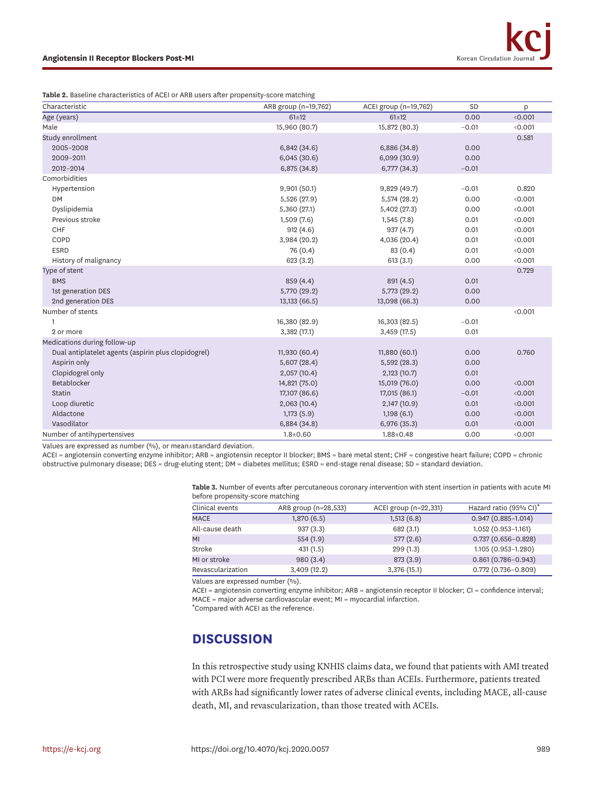<span id="page-5-0"></span>**Table 2.** Baseline characteristics of ACEI or ARB users after propensity-score matching

| Characteristic                                      | ARB group (n=19,762) | ACEI group (n=19,762) | SD      | p     |
|-----------------------------------------------------|----------------------|-----------------------|---------|-------|
| Age (years)                                         | $61 \pm 12$          | $61 \pm 12$           | 0.00    | 0.001 |
| Male                                                | 15,960 (80.7)        | 15,872 (80.3)         | $-0.01$ | 0.001 |
| Study enrollment                                    |                      |                       |         | 0.581 |
| 2005-2008                                           | 6,842(34.6)          | 6,886 (34.8)          | 0.00    |       |
| 2009-2011                                           | 6,045(30.6)          | 6,099 (30.9)          | 0.00    |       |
| 2012-2014                                           | 6,875 (34.8)         | 6,777 (34.3)          | $-0.01$ |       |
| Comorbidities                                       |                      |                       |         |       |
| Hypertension                                        | 9,901(50.1)          | 9,829 (49.7)          | $-0.01$ | 0.820 |
| <b>DM</b>                                           | 5,526 (27.9)         | 5,574 (28.2)          | 0.00    | 0.001 |
| Dyslipidemia                                        | 5,360 (27.1)         | 5,402 (27.3)          | 0.00    | 0.001 |
| Previous stroke                                     | 1,509(7.6)           | 1,545(7.8)            | 0.01    | 0.001 |
| CHF                                                 | 912(4.6)             | 937 (4.7)             | 0.01    | 0.001 |
| COPD                                                | 3,984 (20.2)         | 4,036 (20.4)          | 0.01    | 0.001 |
| <b>ESRD</b>                                         | 76 (0.4)             | 83 (0.4)              | 0.01    | 0.001 |
| History of malignancy                               | 623(3.2)             | 613(3.1)              | 0.00    | 0.001 |
| Type of stent                                       |                      |                       |         | 0.729 |
| <b>BMS</b>                                          | 859 (4.4)            | 891 (4.5)             | 0.01    |       |
| 1st generation DES                                  | 5,770 (29.2)         | 5,773 (29.2)          | 0.00    |       |
| 2nd generation DES                                  | 13,133 (66.5)        | 13,098 (66.3)         | 0.00    |       |
| Number of stents                                    |                      |                       |         | 0.001 |
| $\mathbf{1}$                                        | 16,380 (82.9)        | 16,303 (82.5)         | $-0.01$ |       |
| 2 or more                                           | 3,382 (17.1)         | 3,459 (17.5)          | 0.01    |       |
| Medications during follow-up                        |                      |                       |         |       |
| Dual antiplatelet agents (aspirin plus clopidogrel) | 11,930 (60.4)        | 11,880 (60.1)         | 0.00    | 0.760 |
| Aspirin only                                        | 5,607 (28.4)         | 5,592(28.3)           | 0.00    |       |
| Clopidogrel only                                    | 2,057 (10.4)         | 2,123(10.7)           | 0.01    |       |
| Betablocker                                         | 14,821 (75.0)        | 15,019 (76.0)         | 0.00    | 0.001 |
| <b>Statin</b>                                       | 17,107 (86.6)        | 17,015 (86.1)         | $-0.01$ | 0.001 |
| Loop diuretic                                       | 2,063 (10.4)         | 2,147 (10.9)          | 0.01    | 0.001 |
| Aldactone                                           | 1,173(5.9)           | 1,198(6.1)            | 0.00    | 0.001 |
| Vasodilator                                         | 6,884(34.8)          | 6,976 (35.3)          | 0.01    | 0.001 |
| Number of antihypertensives                         | $1.8 \pm 0.60$       | $1.88 \pm 0.48$       | 0.00    | 0.001 |

Values are expressed as number (%), or mean±standard deviation.

ACEI = angiotensin converting enzyme inhibitor; ARB = angiotensin receptor II blocker; BMS = bare metal stent; CHF = congestive heart failure; COPD = chronic obstructive pulmonary disease; DES = drug-eluting stent; DM = diabetes mellitus; ESRD = end-stage renal disease; SD = standard deviation.

> <span id="page-5-1"></span>**Table 3.** Number of events after percutaneous coronary intervention with stent insertion in patients with acute MI before propensity-score matching

| Clinical events   | ARB group (n=28,533) | ACEI group (n=22,331) | Hazard ratio (95% CI) <sup>*</sup> |
|-------------------|----------------------|-----------------------|------------------------------------|
| <b>MACE</b>       | 1,870 (6.5)          | 1,513(6.8)            | $0.947(0.885 - 1.014)$             |
| All-cause death   | 937(3.3)             | 682 (3.1)             | 1.052 (0.953-1.161)                |
| MI                | 554(1.9)             | 577(2.6)              | $0.737(0.656 - 0.828)$             |
| Stroke            | 431(1.5)             | 299(1.3)              | 1.105 (0.953-1.280)                |
| MI or stroke      | 980(3.4)             | 873 (3.9)             | $0.861(0.786 - 0.943)$             |
| Revascularization | 3,409 (12.2)         | 3,376 (15.1)          | $0.772(0.736 - 0.809)$             |

Values are expressed number (%).

ACEI = angiotensin converting enzyme inhibitor; ARB = angiotensin receptor II blocker; CI = confidence interval; MACE = major adverse cardiovascular event; MI = myocardial infarction.

\*Compared with ACEI as the reference.

## **DISCUSSION**

In this retrospective study using KNHIS claims data, we found that patients with AMI treated with PCI were more frequently prescribed ARBs than ACEIs. Furthermore, patients treated with ARBs had significantly lower rates of adverse clinical events, including MACE, all-cause death, MI, and revascularization, than those treated with ACEIs.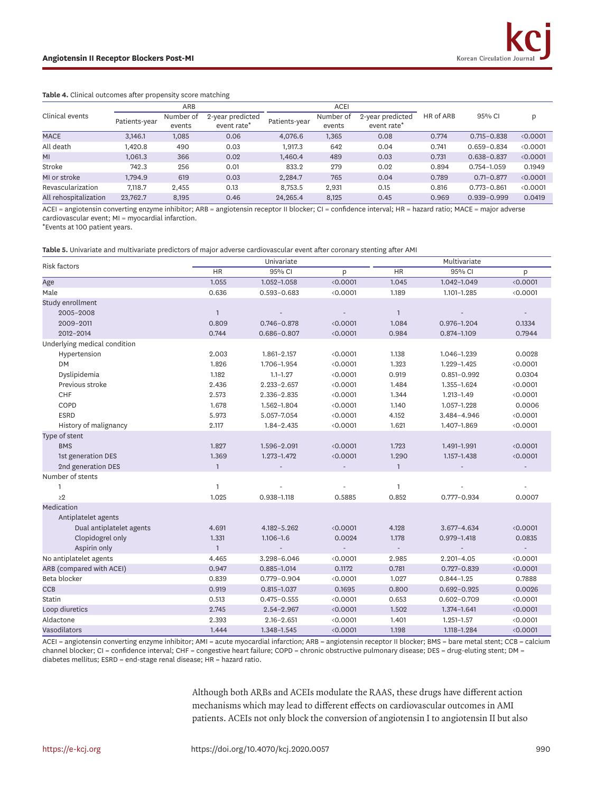#### <span id="page-6-0"></span>**Table 4.** Clinical outcomes after propensity score matching

|                       | ARB           |                     |                                             | <b>ACEI</b>   |                     |                                             |           |                 |        |
|-----------------------|---------------|---------------------|---------------------------------------------|---------------|---------------------|---------------------------------------------|-----------|-----------------|--------|
| Clinical events       | Patients-year | Number of<br>events | 2-year predicted<br>event rate <sup>*</sup> | Patients-year | Number of<br>events | 2-year predicted<br>event rate <sup>*</sup> | HR of ARB | 95% CI          |        |
| <b>MACE</b>           | 3.146.1       | 1,085               | 0.06                                        | 4.076.6       | 1,365               | 0.08                                        | 0.774     | $0.715 - 0.838$ | 0.0001 |
| All death             | I.420.8       | 490                 | 0.03                                        | 1.917.3       | 642                 | 0.04                                        | 0.741     | $0.659 - 0.834$ | 0.0001 |
| MI                    | 1.061.3       | 366                 | 0.02                                        | 1.460.4       | 489                 | 0.03                                        | 0.731     | $0.638 - 0.837$ | 0.0001 |
| Stroke                | 742.3         | 256                 | 0.01                                        | 833.2         | 279                 | 0.02                                        | 0.894     | $0.754 - 1.059$ | 0.1949 |
| MI or stroke          | ,794.9        | 619                 | 0.03                                        | 2,284.7       | 765                 | 0.04                                        | 0.789     | $0.71 - 0.877$  | 0.0001 |
| Revascularization     | 7.118.7       | 2,455               | 0.13                                        | 8,753.5       | 2,931               | 0.15                                        | 0.816     | $0.773 - 0.861$ | 0.0001 |
| All rehospitalization | 23,762.7      | 8,195               | 0.46                                        | 24,265.4      | 8.125               | 0.45                                        | 0.969     | $0.939 - 0.999$ | 0.0419 |

ACEI = angiotensin converting enzyme inhibitor; ARB = angiotensin receptor II blocker; CI = confidence interval; HR = hazard ratio; MACE = major adverse cardiovascular event; MI = myocardial infarction.

\*Events at 100 patient years.

<span id="page-6-1"></span>**Table 5.** Univariate and multivariate predictors of major adverse cardiovascular event after coronary stenting after AMI

| <b>Risk factors</b>          |                | Univariate               |                          | Multivariate             |                 |        |  |
|------------------------------|----------------|--------------------------|--------------------------|--------------------------|-----------------|--------|--|
|                              | <b>HR</b>      | 95% CI                   | p                        | <b>HR</b>                | 95% CI          | p      |  |
| Age                          | 1.055          | 1.052-1.058              | 0.0001                   | 1.045                    | 1.042-1.049     | 0.0001 |  |
| Male                         | 0.636          | $0.593 - 0.683$          | 0.0001                   | 1.189                    | 1.101-1.285     | 0.0001 |  |
| Study enrollment             |                |                          |                          |                          |                 |        |  |
| 2005-2008                    | $\overline{1}$ |                          |                          | $\mathbf{1}$             |                 |        |  |
| 2009-2011                    | 0.809          | $0.746 - 0.878$          | 0.0001                   | 1.084                    | $0.976 - 1.204$ | 0.1334 |  |
| 2012-2014                    | 0.744          | $0.686 - 0.807$          | 0.0001                   | 0.984                    | $0.874 - 1.109$ | 0.7944 |  |
| Underlying medical condition |                |                          |                          |                          |                 |        |  |
| Hypertension                 | 2.003          | 1.861-2.157              | 0.0001                   | 1.138                    | 1.046-1.239     | 0.0028 |  |
| <b>DM</b>                    | 1.826          | 1.706-1.954              | 0.0001                   | 1.323                    | 1.229-1.425     | 0.0001 |  |
| Dyslipidemia                 | 1.182          | $1.1 - 1.27$             | 0.0001                   | 0.919                    | $0.851 - 0.992$ | 0.0304 |  |
| Previous stroke              | 2.436          | $2.233 - 2.657$          | 0.0001                   | 1.484                    | 1.355-1.624     | 0.0001 |  |
| <b>CHF</b>                   | 2.573          | 2.336-2.835              | 0.0001                   | 1.344                    | $1.213 - 1.49$  | 0.0001 |  |
| COPD                         | 1.678          | 1.562-1.804              | 0.0001                   | 1.140                    | 1.057-1.228     | 0.0006 |  |
| <b>ESRD</b>                  | 5.973          | 5.057-7.054              | 0.0001                   | 4.152                    | 3.484-4.946     | 0.0001 |  |
| History of malignancy        | 2.117          | $1.84 - 2.435$           | 0.0001                   | 1.621                    | 1.407-1.869     | 0.0001 |  |
| Type of stent                |                |                          |                          |                          |                 |        |  |
| <b>BMS</b>                   | 1.827          | 1.596-2.091              | 0.0001                   | 1.723                    | 1.491-1.991     | 0.0001 |  |
| 1st generation DES           | 1.369          | $1.273 - 1.472$          | 0.0001                   | 1.290                    | 1.157-1.438     | 0.0001 |  |
| 2nd generation DES           | $\mathbf{1}$   |                          |                          | $\mathbf{1}$             |                 |        |  |
| Number of stents             |                |                          |                          |                          |                 |        |  |
| $\mathbf{1}$                 | $\mathbf{1}$   |                          |                          | 1                        |                 |        |  |
| $\geq$ 2                     | 1.025          | $0.938 - 1.118$          | 0.5885                   | 0.852                    | $0.777 - 0.934$ | 0.0007 |  |
| Medication                   |                |                          |                          |                          |                 |        |  |
| Antiplatelet agents          |                |                          |                          |                          |                 |        |  |
| Dual antiplatelet agents     | 4.691          | 4.182-5.262              | 0.0001                   | 4.128                    | 3.677-4.634     | 0.0001 |  |
| Clopidogrel only             | 1.331          | $1.106 - 1.6$            | 0.0024                   | 1.178                    | $0.979 - 1.418$ | 0.0835 |  |
| Aspirin only                 | $\mathbf{1}$   | $\overline{\phantom{a}}$ | $\overline{\phantom{a}}$ | $\overline{\phantom{a}}$ |                 | $\sim$ |  |
| No antiplatelet agents       | 4.465          | 3.298-6.046              | 0.0001                   | 2.985                    | $2.201 - 4.05$  | 0.0001 |  |
| ARB (compared with ACEI)     | 0.947          | $0.885 - 1.014$          | 0.1172                   | 0.781                    | $0.727 - 0.839$ | 0.0001 |  |
| Beta blocker                 | 0.839          | $0.779 - 0.904$          | 0.0001                   | 1.027                    | $0.844 - 1.25$  | 0.7888 |  |
| <b>CCB</b>                   | 0.919          | $0.815 - 1.037$          | 0.1695                   | 0.800                    | $0.692 - 0.925$ | 0.0026 |  |
| Statin                       | 0.513          | $0.475 - 0.555$          | 0.0001                   | 0.653                    | $0.602 - 0.709$ | 0.0001 |  |
| Loop diuretics               | 2.745          | $2.54 - 2.967$           | 0.0001                   | 1.502                    | 1.374-1.641     | 0.0001 |  |
| Aldactone                    | 2.393          | $2.16 - 2.651$           | 0.0001                   | 1.401                    | $1.251 - 1.57$  | 0.0001 |  |
| Vasodilators                 | 1.444          | 1.348-1.545              | 0.0001                   | 1.198                    | 1.118-1.284     | 0.0001 |  |

ACEI = angiotensin converting enzyme inhibitor; AMI = acute myocardial infarction; ARB = angiotensin receptor II blocker; BMS = bare metal stent; CCB = calcium channel blocker; CI = confidence interval; CHF = congestive heart failure; COPD = chronic obstructive pulmonary disease; DES = drug-eluting stent; DM = diabetes mellitus; ESRD = end-stage renal disease; HR = hazard ratio.

> Although both ARBs and ACEIs modulate the RAAS, these drugs have different action mechanisms which may lead to different effects on cardiovascular outcomes in AMI patients. ACEIs not only block the conversion of angiotensin I to angiotensin II but also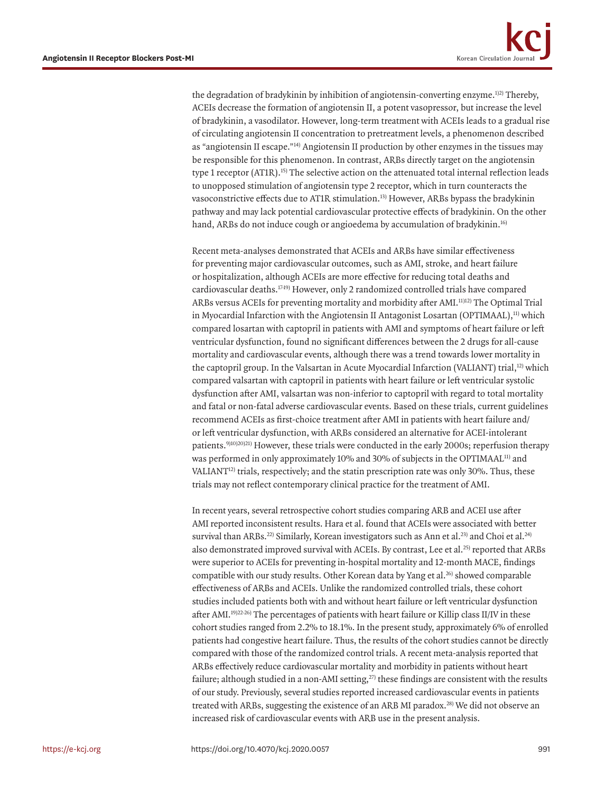<span id="page-7-5"></span><span id="page-7-4"></span><span id="page-7-0"></span>the degradation of bradykinin by inhibition of angiotensin-converting enzyme.<sup>[1\)](#page-9-0)[2\)](#page-9-1)</sup> Thereby, ACEIs decrease the formation of angiotensin II, a potent vasopressor, but increase the level of bradykinin, a vasodilator. However, long-term treatment with ACEIs leads to a gradual rise of circulating angiotensin II concentration to pretreatment levels, a phenomenon described as "angiotensin II escape."<sup>14)</sup> Angiotensin II production by other enzymes in the tissues may be responsible for this phenomenon. In contrast, ARBs directly target on the angiotensin type 1 receptor  $(ATIR)$ .<sup>15)</sup> The selective action on the attenuated total internal reflection leads to unopposed stimulation of angiotensin type 2 receptor, which in turn counteracts the vasoconstrictive effects due to AT1R stimulation.[13\)](#page-9-11) However, ARBs bypass the bradykinin pathway and may lack potential cardiovascular protective effects of bradykinin. On the other hand, ARBs do not induce cough or angioedema by accumulation of bradykinin.<sup>16)</sup>

<span id="page-7-7"></span><span id="page-7-6"></span><span id="page-7-3"></span>Recent meta-analyses demonstrated that ACEIs and ARBs have similar effectiveness for preventing major cardiovascular outcomes, such as AMI, stroke, and heart failure or hospitalization, although ACEIs are more effective for reducing total deaths and cardiovascular deaths.<sup>1749</sup>) However, only 2 randomized controlled trials have compared ARBs versus ACEIs for preventing mortality and morbidity after AMI[.11\)](#page-9-9)[12\)](#page-9-10) The Optimal Trial in Myocardial Infarction with the Angiotensin II Antagonist Losartan (OPTIMAAL),<sup>[11\)](#page-9-9)</sup> which compared losartan with captopril in patients with AMI and symptoms of heart failure or left ventricular dysfunction, found no significant differences between the 2 drugs for all-cause mortality and cardiovascular events, although there was a trend towards lower mortality in the captopril group. In the Valsartan in Acute Myocardial Infarction (VALIANT) trial,<sup>12</sup> which compared valsartan with captopril in patients with heart failure or left ventricular systolic dysfunction after AMI, valsartan was non-inferior to captopril with regard to total mortality and fatal or non-fatal adverse cardiovascular events. Based on these trials, current guidelines recommend ACEIs as first-choice treatment after AMI in patients with heart failure and/ or left ventricular dysfunction, with ARBs considered an alternative for ACEI-intolerant patients[.9\)](#page-9-7)[10\)](#page-9-8)[20\)](#page-10-3)[21\)](#page-10-4) However, these trials were conducted in the early 2000s; reperfusion therapy was performed in only approximately 10% and 30% of subjects in the OPTIMAAL<sup>[11\)](#page-9-9)</sup> and VALIANT<sup>12)</sup> trials, respectively; and the statin prescription rate was only 30%. Thus, these trials may not reflect contemporary clinical practice for the treatment of AMI.

<span id="page-7-13"></span><span id="page-7-12"></span><span id="page-7-11"></span><span id="page-7-10"></span><span id="page-7-9"></span><span id="page-7-8"></span><span id="page-7-2"></span><span id="page-7-1"></span>In recent years, several retrospective cohort studies comparing ARB and ACEI use after AMI reported inconsistent results. Hara et al. found that ACEIs were associated with better survival than ARBs.<sup>22)</sup> Similarly, Korean investigators such as Ann et al.<sup>23)</sup> and Choi et al.<sup>24)</sup> also demonstrated improved survival with ACEIs. By contrast, Lee et al.<sup>25)</sup> reported that ARBs were superior to ACEIs for preventing in-hospital mortality and 12-month MACE, findings compatible with our study results. Other Korean data by Yang et al. $^{26}$  showed comparable effectiveness of ARBs and ACEIs. Unlike the randomized controlled trials, these cohort studies included patients both with and without heart failure or left ventricular dysfunction after AMI.<sup>19)[22](#page-10-5)-26)</sup> The percentages of patients with heart failure or Killip class II/IV in these cohort studies ranged from 2.2% to 18.1%. In the present study, approximately 6% of enrolled patients had congestive heart failure. Thus, the results of the cohort studies cannot be directly compared with those of the randomized control trials. A recent meta-analysis reported that ARBs effectively reduce cardiovascular mortality and morbidity in patients without heart failure; although studied in a non-AMI setting, $^{27}$  these findings are consistent with the results of our study. Previously, several studies reported increased cardiovascular events in patients treated with ARBs, suggesting the existence of an ARB MI paradox[.28\)](#page-10-11) We did not observe an increased risk of cardiovascular events with ARB use in the present analysis.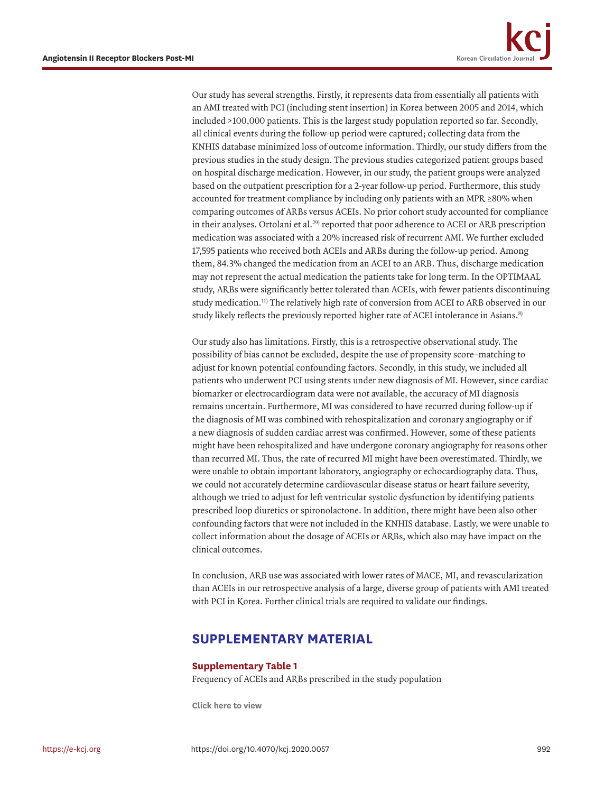Our study has several strengths. Firstly, it represents data from essentially all patients with an AMI treated with PCI (including stent insertion) in Korea between 2005 and 2014, which included >100,000 patients. This is the largest study population reported so far. Secondly, all clinical events during the follow-up period were captured; collecting data from the KNHIS database minimized loss of outcome information. Thirdly, our study differs from the previous studies in the study design. The previous studies categorized patient groups based on hospital discharge medication. However, in our study, the patient groups were analyzed based on the outpatient prescription for a 2-year follow-up period. Furthermore, this study accounted for treatment compliance by including only patients with an MPR ≥80% when comparing outcomes of ARBs versus ACEIs. No prior cohort study accounted for compliance in their analyses. Ortolani et al.<sup>[29\)](#page-10-12)</sup> reported that poor adherence to ACEI or ARB prescription medication was associated with a 20% increased risk of recurrent AMI. We further excluded 17,595 patients who received both ACEIs and ARBs during the follow-up period. Among them, 84.3% changed the medication from an ACEI to an ARB. Thus, discharge medication may not represent the actual medication the patients take for long term. In the OPTIMAAL study, ARBs were significantly better tolerated than ACEIs, with fewer patients discontinuing study medication.[11\)](#page-9-9) The relatively high rate of conversion from ACEI to ARB observed in our study likely reflects the previously reported higher rate of ACEI intolerance in Asians.<sup>8)</sup>

<span id="page-8-3"></span><span id="page-8-2"></span><span id="page-8-1"></span>Our study also has limitations. Firstly, this is a retrospective observational study. The possibility of bias cannot be excluded, despite the use of propensity score–matching to adjust for known potential confounding factors. Secondly, in this study, we included all patients who underwent PCI using stents under new diagnosis of MI. However, since cardiac biomarker or electrocardiogram data were not available, the accuracy of MI diagnosis remains uncertain. Furthermore, MI was considered to have recurred during follow-up if the diagnosis of MI was combined with rehospitalization and coronary angiography or if a new diagnosis of sudden cardiac arrest was confirmed. However, some of these patients might have been rehospitalized and have undergone coronary angiography for reasons other than recurred MI. Thus, the rate of recurred MI might have been overestimated. Thirdly, we were unable to obtain important laboratory, angiography or echocardiography data. Thus, we could not accurately determine cardiovascular disease status or heart failure severity, although we tried to adjust for left ventricular systolic dysfunction by identifying patients prescribed loop diuretics or spironolactone. In addition, there might have been also other confounding factors that were not included in the KNHIS database. Lastly, we were unable to collect information about the dosage of ACEIs or ARBs, which also may have impact on the clinical outcomes.

In conclusion, ARB use was associated with lower rates of MACE, MI, and revascularization than ACEIs in our retrospective analysis of a large, diverse group of patients with AMI treated with PCI in Korea. Further clinical trials are required to validate our findings.

# **SUPPLEMENTARY MATERIAL**

### <span id="page-8-0"></span>**Supplementary Table 1**

Frequency of ACEIs and ARBs prescribed in the study population

**[Click here to view](https://e-kcj.org/DownloadSupplMaterial.php?id=10.4070/kcj.2020.0057&fn=kcj-50-984-s001.xls)**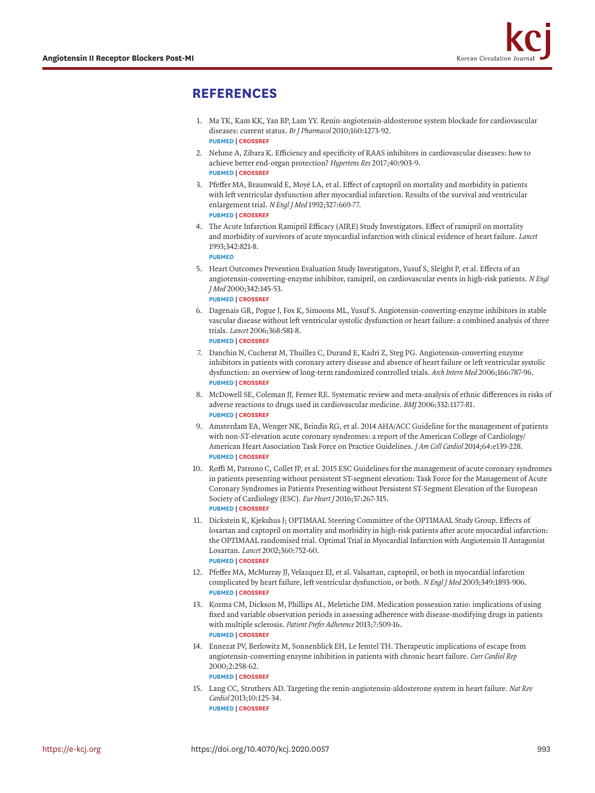# **REFERENCES**

- <span id="page-9-0"></span>[1.](#page-7-0) Ma TK, Kam KK, Yan BP, Lam YY. Renin-angiotensin-aldosterone system blockade for cardiovascular diseases: current status. *Br J Pharmacol* 2010;160:1273-92. **[PUBMED](http://www.ncbi.nlm.nih.gov/pubmed/20590619) | [CROSSREF](https://doi.org/10.1111/j.1476-5381.2010.00750.x)**
- <span id="page-9-1"></span>[2.](#page-7-0) Nehme A, Zibara K. Efficiency and specificity of RAAS inhibitors in cardiovascular diseases: how to achieve better end-organ protection? *Hypertens Res* 2017;40:903-9. **[PUBMED](http://www.ncbi.nlm.nih.gov/pubmed/28680167) | [CROSSREF](https://doi.org/10.1038/hr.2017.65)**
- <span id="page-9-2"></span>[3.](#page-1-0) Pfeffer MA, Braunwald E, Moyé LA, et al. Effect of captopril on mortality and morbidity in patients with left ventricular dysfunction after myocardial infarction. Results of the survival and ventricular enlargement trial. *N Engl J Med* 1992;327:669-77. **[PUBMED](http://www.ncbi.nlm.nih.gov/pubmed/1386652) | [CROSSREF](https://doi.org/10.1056/NEJM199209033271001)**
- <span id="page-9-3"></span>[4.](#page-1-0) The Acute Infarction Ramipril Efficacy (AIRE) Study Investigators. Effect of ramipril on mortality and morbidity of survivors of acute myocardial infarction with clinical evidence of heart failure. *Lancet* 1993;342:821-8. **[PUBMED](http://www.ncbi.nlm.nih.gov/pubmed/8104270)**
- <span id="page-9-4"></span>[5.](#page-1-1) Heart Outcomes Prevention Evaluation Study Investigators, Yusuf S, Sleight P, et al. Effects of an angiotensin-converting-enzyme inhibitor, ramipril, on cardiovascular events in high-risk patients. *N Engl J Med* 2000;342:145-53. **[PUBMED](http://www.ncbi.nlm.nih.gov/pubmed/10639539) | [CROSSREF](https://doi.org/10.1056/NEJM200001203420301)**
- 6. Dagenais GR, Pogue J, Fox K, Simoons ML, Yusuf S. Angiotensin-converting-enzyme inhibitors in stable vascular disease without left ventricular systolic dysfunction or heart failure: a combined analysis of three trials. *Lancet* 2006;368:581-8. **[PUBMED](http://www.ncbi.nlm.nih.gov/pubmed/16905022) | [CROSSREF](https://doi.org/10.1016/S0140-6736(06)69201-5)**
- <span id="page-9-5"></span>[7.](#page-1-1) Danchin N, Cucherat M, Thuillez C, Durand E, Kadri Z, Steg PG. Angiotensin-converting enzyme inhibitors in patients with coronary artery disease and absence of heart failure or left ventricular systolic dysfunction: an overview of long-term randomized controlled trials. *Arch Intern Med* 2006;166:787-96. **[PUBMED](http://www.ncbi.nlm.nih.gov/pubmed/16606817) | [CROSSREF](https://doi.org/10.1001/archinte.166.7.787)**
- <span id="page-9-6"></span>[8.](#page-8-1) McDowell SE, Coleman JJ, Ferner RE. Systematic review and meta-analysis of ethnic differences in risks of adverse reactions to drugs used in cardiovascular medicine. *BMJ* 2006;332:1177-81. **[PUBMED](http://www.ncbi.nlm.nih.gov/pubmed/16679330) | [CROSSREF](https://doi.org/10.1136/bmj.38803.528113.55)**
- <span id="page-9-7"></span>[9.](#page-7-1) Amsterdam EA, Wenger NK, Brindis RG, et al. 2014 AHA/ACC Guideline for the management of patients with non-ST-elevation acute coronary syndromes: a report of the American College of Cardiology/ American Heart Association Task Force on Practice Guidelines. *J Am Coll Cardiol* 2014;64:e139-228. **[PUBMED](http://www.ncbi.nlm.nih.gov/pubmed/25260718) | [CROSSREF](https://doi.org/10.1016/j.jacc.2014.09.017)**
- <span id="page-9-8"></span>[10.](#page-7-1) Roffi M, Patrono C, Collet JP, et al. 2015 ESC Guidelines for the management of acute coronary syndromes in patients presenting without persistent ST-segment elevation: Task Force for the Management of Acute Coronary Syndromes in Patients Presenting without Persistent ST-Segment Elevation of the European Society of Cardiology (ESC). *Eur Heart J* 2016;37:267-315. **[PUBMED](http://www.ncbi.nlm.nih.gov/pubmed/26320110) | [CROSSREF](https://doi.org/10.1093/eurheartj/ehv320)**
- <span id="page-9-9"></span>[11.](#page-8-2) Dickstein K, Kjekshus J; OPTIMAAL Steering Committee of the OPTIMAAL Study Group. Effects of losartan and captopril on mortality and morbidity in high-risk patients after acute myocardial infarction: the OPTIMAAL randomised trial. Optimal Trial in Myocardial Infarction with Angiotensin II Antagonist Losartan. *Lancet* 2002;360:752-60. **[PUBMED](http://www.ncbi.nlm.nih.gov/pubmed/12241832) | [CROSSREF](https://doi.org/10.1016/S0140-6736(02)09895-1)**
- <span id="page-9-10"></span>[12.](#page-7-2) Pfeffer MA, McMurray JJ, Velazquez EJ, et al. Valsartan, captopril, or both in myocardial infarction complicated by heart failure, left ventricular dysfunction, or both. *N Engl J Med* 2003;349:1893-906. **[PUBMED](http://www.ncbi.nlm.nih.gov/pubmed/14610160) | [CROSSREF](https://doi.org/10.1056/NEJMoa032292)**
- <span id="page-9-11"></span>[13.](#page-7-3) Kozma CM, Dickson M, Phillips AL, Meletiche DM. Medication possession ratio: implications of using fixed and variable observation periods in assessing adherence with disease-modifying drugs in patients with multiple sclerosis. *Patient Prefer Adherence* 2013;7:509-16. **[PUBMED](http://www.ncbi.nlm.nih.gov/pubmed/23807840) | [CROSSREF](https://doi.org/10.2147/PPA.S40736)**
- <span id="page-9-12"></span>[14.](#page-7-4) Ennezat PV, Berlowitz M, Sonnenblick EH, Le Jemtel TH. Therapeutic implications of escape from angiotensin-converting enzyme inhibition in patients with chronic heart failure. *Curr Cardiol Rep* 2000;2:258-62.
	- **[PUBMED](http://www.ncbi.nlm.nih.gov/pubmed/10980901) | [CROSSREF](https://doi.org/10.1007/s11886-000-0077-3)**
- <span id="page-9-13"></span>[15.](#page-7-5) Lang CC, Struthers AD. Targeting the renin-angiotensin-aldosterone system in heart failure. *Nat Rev Cardiol* 2013;10:125-34. **[PUBMED](http://www.ncbi.nlm.nih.gov/pubmed/23319100) | [CROSSREF](https://doi.org/10.1038/nrcardio.2012.196)**